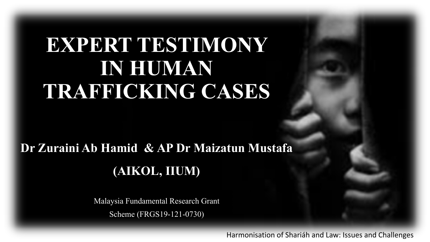### **EXPERT TESTIMONY IN HUMAN TRAFFICKING CASES**

#### **Dr Zuraini Ab Hamid & AP Dr Maizatun Mustafa (AIKOL, IIUM)**

Malaysia Fundamental Research Grant Scheme (FRGS19-121-0730)

Harmonisation of Shariáh and Law: Issues and Challenges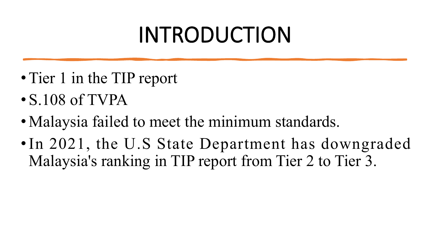# INTRODUCTION

- Tier 1 in the TIP report
- S.108 of TVPA
- Malaysia failed to meet the minimum standards.
- •In 2021, the U.S State Department has downgraded Malaysia's ranking in TIP report from Tier 2 to Tier 3.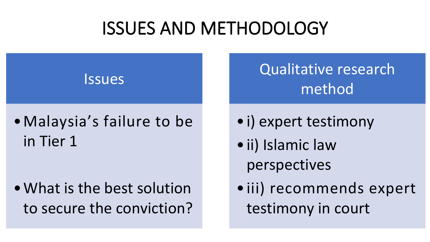#### ISSUES AND METHODOLOGY



#### •Malaysia's failure to be in Tier 1

•What is the best solution to secure the conviction? Qualitative research method

- •i) expert testimony
- •ii) Islamic law perspectives
- •iii) recommends expert testimony in court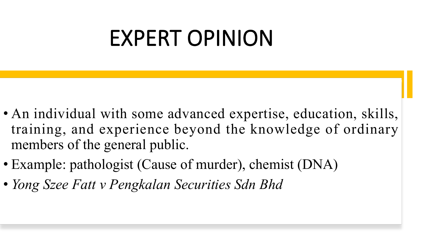# EXPERT OPINION

- An individual with some advanced expertise, education, skills, training, and experience beyond the knowledge of ordinary members of the general public.
- Example: pathologist (Cause of murder), chemist (DNA)
- *Yong Szee Fatt v Pengkalan Securities Sdn Bhd*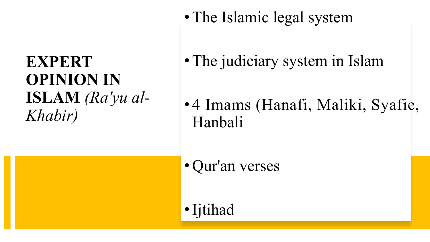# **OPINION IN** *Khabir)*

• The Islamic legal system

- **EXPERT** •The judiciary system in Islam
- **ISLAM** *(Ra'yu al-* • 4 Imams (Hanafi, Maliki, Syafie, Hanbali

• Qur'an verses

•Ijtihad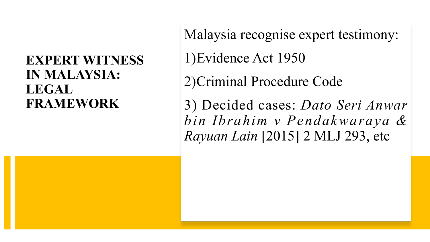#### **EXPERT WITNESS IN MALAYSIA: LEGAL**

**FRAMEWORK** 3) Decided cases: *Dato Seri Anwar* Malaysia recognise expert testimony: 1)Evidence Act 1950 2)Criminal Procedure Code *bin Ibrahim v Pendakwaraya & Rayuan Lain* [2015] 2 MLJ 293, etc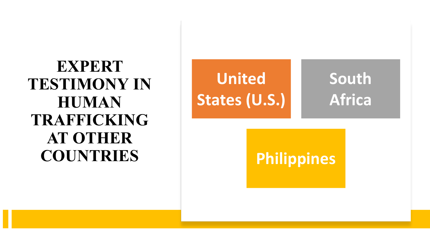**EXPERT TESTIMONY IN TRAFFICKING AT OTHER COUNTRIES**